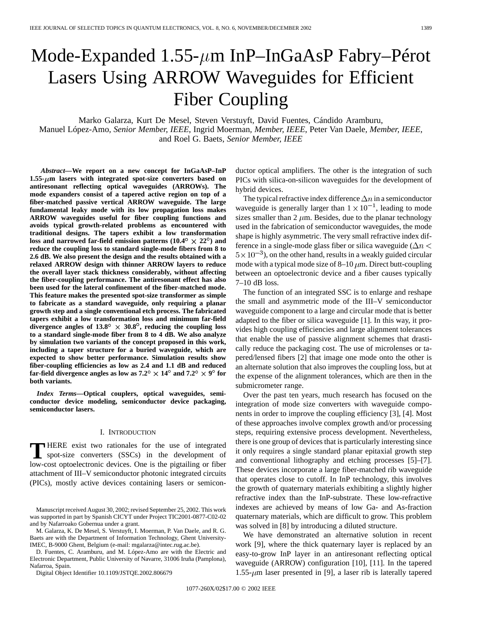# Mode-Expanded  $1.55$ - $\mu$ m InP–InGaAsP Fabry–Pérot Lasers Using ARROW Waveguides for Efficient Fiber Coupling

Marko Galarza, Kurt De Mesel, Steven Verstuyft, David Fuentes, Cándido Aramburu, Manuel López-Amo*, Senior Member, IEEE*, Ingrid Moerman*, Member, IEEE*, Peter Van Daele*, Member, IEEE*, and Roel G. Baets*, Senior Member, IEEE*

*Abstract—***We report on a new concept for InGaAsP–InP 1.55- m lasers with integrated spot-size converters based on antiresonant reflecting optical waveguides (ARROWs). The mode expanders consist of a tapered active region on top of a fiber-matched passive vertical ARROW waveguide. The large fundamental leaky mode with its low propagation loss makes ARROW waveguides useful for fiber coupling functions and avoids typical growth-related problems as encountered with traditional designs. The tapers exhibit a low transformation** loss and narrowed far-field emission patterns  $(10.4^{\circ} \times 22^{\circ})$  and **reduce the coupling loss to standard single-mode fibers from 8 to 2.6 dB. We also present the design and the results obtained with a relaxed ARROW design with thinner ARROW layers to reduce the overall layer stack thickness considerably, without affecting the fiber-coupling performance. The antiresonant effect has also been used for the lateral confinement of the fiber-matched mode. This feature makes the presented spot-size transformer as simple to fabricate as a standard waveguide, only requiring a planar growth step and a single conventional etch process. The fabricated tapers exhibit a low transformation loss and minimum far-field** divergence angles of  $13.8^{\circ} \times 30.8^{\circ}$ , reducing the coupling loss **to a standard single-mode fiber from 8 to 4 dB. We also analyze by simulation two variants of the concept proposed in this work, including a taper structure for a buried waveguide, which are expected to show better performance. Simulation results show fiber-coupling efficiencies as low as 2.4 and 1.1 dB and reduced far-field divergence angles as low as**  $7.2^{\circ} \times 14^{\circ}$  **and**  $7.2^{\circ} \times 9^{\circ}$  **for both variants.**

*Index Terms—***Optical couplers, optical waveguides, semiconductor device modeling, semiconductor device packaging, semiconductor lasers.**

#### I. INTRODUCTION

**T** HERE exist two rationales for the use of integrated spot-size converters (SSCs) in the development of law set article lating consistent of the mixtuiting on fiber low-cost optoelectronic devices. One is the pigtailing or fiber attachment of III–V semiconductor photonic integrated circuits (PICs), mostly active devices containing lasers or semicon-

D. Fuentes, C. Aramburu, and M. López-Amo are with the Electric and Electronic Department, Public University of Navarre, 31006 Iruña (Pamplona), Nafarroa, Spain.

Digital Object Identifier 10.1109/JSTQE.2002.806679

ductor optical amplifiers. The other is the integration of such PICs with silica-on-silicon waveguides for the development of hybrid devices.

The typical refractive index difference  $\Delta n$  in a semiconductor waveguide is generally larger than  $1 \times 10^{-1}$ , leading to mode sizes smaller than  $2 \mu m$ . Besides, due to the planar technology used in the fabrication of semiconductor waveguides, the mode shape is highly asymmetric. The very small refractive index difference in a single-mode glass fiber or silica waveguide ( $\Delta n$  <  $5 \times 10^{-3}$ ), on the other hand, results in a weakly guided circular mode with a typical mode size of  $8-10 \mu m$ . Direct butt-coupling between an optoelectronic device and a fiber causes typically 7–10 dB loss.

The function of an integrated SSC is to enlarge and reshape the small and asymmetric mode of the III–V semiconductor waveguide component to a large and circular mode that is better adapted to the fiber or silica waveguide [1]. In this way, it provides high coupling efficiencies and large alignment tolerances that enable the use of passive alignment schemes that drastically reduce the packaging cost. The use of microlenses or tapered/lensed fibers [2] that image one mode onto the other is an alternate solution that also improves the coupling loss, but at the expense of the alignment tolerances, which are then in the submicrometer range.

Over the past ten years, much research has focused on the integration of mode size converters with waveguide components in order to improve the coupling efficiency [3], [4]. Most of these approaches involve complex growth and/or processing steps, requiring extensive process development. Nevertheless, there is one group of devices that is particularly interesting since it only requires a single standard planar epitaxial growth step and conventional lithography and etching processes [5]–[7]. These devices incorporate a large fiber-matched rib waveguide that operates close to cutoff. In InP technology, this involves the growth of quaternary materials exhibiting a slightly higher refractive index than the InP-substrate. These low-refractive indexes are achieved by means of low Ga- and As-fraction quaternary materials, which are difficult to grow. This problem was solved in [8] by introducing a diluted structure.

We have demonstrated an alternative solution in recent work [9], where the thick quaternary layer is replaced by an easy-to-grow InP layer in an antiresonant reflecting optical waveguide (ARROW) configuration [10], [11]. In the tapered 1.55- $\mu$ m laser presented in [9], a laser rib is laterally tapered

Manuscript received August 30, 2002; revised September 25, 2002. This work was supported in part by Spanish CICYT under Project TIC2001-0877-C02-02 and by Nafarroako Gobernua under a grant.

M. Galarza, K. De Mesel, S. Verstuyft, I. Moerman, P. Van Daele, and R. G. Baets are with the Department of Information Technology, Ghent University-IMEC, B-9000 Ghent, Belgium (e-mail: mgalarza@intec.rug.ac.be).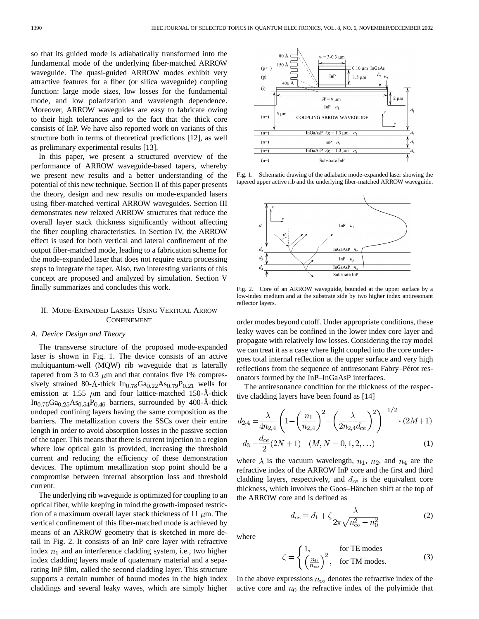so that its guided mode is adiabatically transformed into the fundamental mode of the underlying fiber-matched ARROW waveguide. The quasi-guided ARROW modes exhibit very attractive features for a fiber (or silica waveguide) coupling function: large mode sizes, low losses for the fundamental mode, and low polarization and wavelength dependence. Moreover, ARROW waveguides are easy to fabricate owing to their high tolerances and to the fact that the thick core consists of InP. We have also reported work on variants of this structure both in terms of theoretical predictions [12], as well as preliminary experimental results [13].

In this paper, we present a structured overview of the performance of ARROW waveguide-based tapers, whereby we present new results and a better understanding of the potential of this new technique. Section II of this paper presents the theory, design and new results on mode-expanded lasers using fiber-matched vertical ARROW waveguides. Section III demonstrates new relaxed ARROW structures that reduce the overall layer stack thickness significantly without affecting the fiber coupling characteristics. In Section IV, the ARROW effect is used for both vertical and lateral confinement of the output fiber-matched mode, leading to a fabrication scheme for the mode-expanded laser that does not require extra processing steps to integrate the taper. Also, two interesting variants of this concept are proposed and analyzed by simulation. Section V finally summarizes and concludes this work.

# II. MODE-EXPANDED LASERS USING VERTICAL ARROW CONFINEMENT

# *A. Device Design and Theory*

The transverse structure of the proposed mode-expanded laser is shown in Fig. 1. The device consists of an active multiquantum-well (MQW) rib waveguide that is laterally tapered from 3 to 0.3  $\mu$ m and that contains five 1% compressively strained 80-Å-thick  $In_{0.78}Ga_{0.22}As_{0.79}P_{0.21}$  wells for emission at 1.55  $\mu$ m and four lattice-matched 150-Å-thick  $In_{0.75}Ga_{0.25}As_{0.54}P_{0.46}$  barriers, surrounded by 400-Å-thick undoped confining layers having the same composition as the barriers. The metallization covers the SSCs over their entire length in order to avoid absorption losses in the passive section of the taper. This means that there is current injection in a region where low optical gain is provided, increasing the threshold current and reducing the efficiency of these demonstration devices. The optimum metallization stop point should be a compromise between internal absorption loss and threshold current.

The underlying rib waveguide is optimized for coupling to an optical fiber, while keeping in mind the growth-imposed restriction of a maximum overall layer stack thickness of 11  $\mu$ m. The vertical confinement of this fiber-matched mode is achieved by means of an ARROW geometry that is sketched in more detail in Fig. 2. It consists of an InP core layer with refractive index  $n_1$  and an interference cladding system, i.e., two higher index cladding layers made of quaternary material and a separating InP film, called the second cladding layer. This structure supports a certain number of bound modes in the high index claddings and several leaky waves, which are simply higher



Fig. 1. Schematic drawing of the adiabatic mode-expanded laser showing the tapered upper active rib and the underlying fiber-matched ARROW waveguide.



Fig. 2. Core of an ARROW waveguide, bounded at the upper surface by a low-index medium and at the substrate side by two higher index antiresonant reflector layers.

order modes beyond cutoff. Under appropriate conditions, these leaky waves can be confined in the lower index core layer and propagate with relatively low losses. Considering the ray model we can treat it as a case where light coupled into the core undergoes total internal reflection at the upper surface and very high reflections from the sequence of antiresonant Fabry–Pérot resonators formed by the InP–InGaAsP interfaces.

The antiresonance condition for the thickness of the respective cladding layers have been found as [14]

$$
d_{2,4} = \frac{\lambda}{4n_{2,4}} \left( 1 - \left( \frac{n_1}{n_{2,4}} \right)^2 + \left( \frac{\lambda}{2n_{2,4}d_{ce}} \right)^2 \right)^{-1/2} \cdot (2M+1)
$$
  

$$
d_3 = \frac{d_{ce}}{2} (2N+1) \quad (M, N = 0, 1, 2, ...)
$$
 (1)

where  $\lambda$  is the vacuum wavelength,  $n_1$ ,  $n_2$ , and  $n_4$  are the refractive index of the ARROW InP core and the first and third cladding layers, respectively, and  $d_{ce}$  is the equivalent core thickness, which involves the Goos–Hänchen shift at the top of the ARROW core and is defined as

$$
d_{ce} = d_1 + \zeta \frac{\lambda}{2\pi\sqrt{n_{co}^2 - n_0^2}}
$$
 (2)

where

$$
\zeta = \begin{cases} 1, & \text{for TE modes} \\ \left(\frac{n_0}{n_{co}}\right)^2, & \text{for TM modes.} \end{cases}
$$
 (3)

In the above expressions  $n_{co}$  denotes the refractive index of the active core and  $n_0$  the refractive index of the polyimide that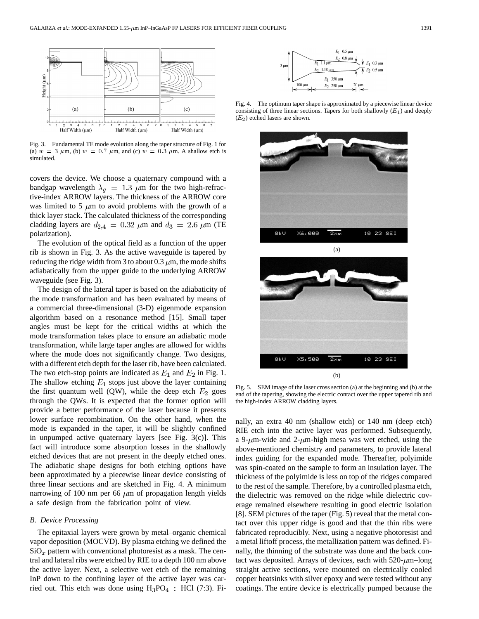

Fig. 3. Fundamental TE mode evolution along the taper structure of Fig. 1 for (a)  $w = 3 \mu \text{m}$ , (b)  $w = 0.7 \mu \text{m}$ , and (c)  $w = 0.3 \mu \text{m}$ . A shallow etch is simulated.

covers the device. We choose a quaternary compound with a bandgap wavelength  $\lambda_g = 1.3 \mu m$  for the two high-refractive-index ARROW layers. The thickness of the ARROW core was limited to 5  $\mu$ m to avoid problems with the growth of a thick layer stack. The calculated thickness of the corresponding cladding layers are  $d_{2,4} = 0.32 \ \mu \text{m}$  and  $d_3 = 2.6 \ \mu \text{m}$  (TE polarization).

The evolution of the optical field as a function of the upper rib is shown in Fig. 3. As the active waveguide is tapered by reducing the ridge width from 3 to about 0.3  $\mu$ m, the mode shifts adiabatically from the upper guide to the underlying ARROW waveguide (see Fig. 3).

The design of the lateral taper is based on the adiabaticity of the mode transformation and has been evaluated by means of a commercial three-dimensional (3-D) eigenmode expansion algorithm based on a resonance method [15]. Small taper angles must be kept for the critical widths at which the mode transformation takes place to ensure an adiabatic mode transformation, while large taper angles are allowed for widths where the mode does not significantly change. Two designs, with a different etch depth for the laser rib, have been calculated. The two etch-stop points are indicated as  $E_1$  and  $E_2$  in Fig. 1. The shallow etching  $E_1$  stops just above the layer containing the first quantum well (QW), while the deep etch  $E_2$  goes through the QWs. It is expected that the former option will provide a better performance of the laser because it presents lower surface recombination. On the other hand, when the mode is expanded in the taper, it will be slightly confined in unpumped active quaternary layers [see Fig. 3(c)]. This fact will introduce some absorption losses in the shallowly etched devices that are not present in the deeply etched ones. The adiabatic shape designs for both etching options have been approximated by a piecewise linear device consisting of three linear sections and are sketched in Fig. 4. A minimum narrowing of 100 nm per 66  $\mu$ m of propagation length yields a safe design from the fabrication point of view.

# *B. Device Processing*

The epitaxial layers were grown by metal–organic chemical vapor deposition (MOCVD). By plasma etching we defined the  $\text{SiO}_x$  pattern with conventional photoresist as a mask. The central and lateral ribs were etched by RIE to a depth 100 nm above the active layer. Next, a selective wet etch of the remaining InP down to the confining layer of the active layer was carried out. This etch was done using  $H_3PO_4$ : HCl (7:3). Fi-



Fig. 4. The optimum taper shape is approximated by a piecewise linear device consisting of three linear sections. Tapers for both shallowly  $(E_1)$  and deeply  $(E<sub>2</sub>)$  etched lasers are shown.





Fig. 5. SEM image of the laser cross section (a) at the beginning and (b) at the end of the tapering, showing the electric contact over the upper tapered rib and the high-index ARROW cladding layers.

nally, an extra 40 nm (shallow etch) or 140 nm (deep etch) RIE etch into the active layer was performed. Subsequently, a 9- $\mu$ m-wide and 2- $\mu$ m-high mesa was wet etched, using the above-mentioned chemistry and parameters, to provide lateral index guiding for the expanded mode. Thereafter, polyimide was spin-coated on the sample to form an insulation layer. The thickness of the polyimide is less on top of the ridges compared to the rest of the sample. Therefore, by a controlled plasma etch, the dielectric was removed on the ridge while dielectric coverage remained elsewhere resulting in good electric isolation [8]. SEM pictures of the taper (Fig. 5) reveal that the metal contact over this upper ridge is good and that the thin ribs were fabricated reproducibly. Next, using a negative photoresist and a metal liftoff process, the metallization pattern was defined. Finally, the thinning of the substrate was done and the back contact was deposited. Arrays of devices, each with  $520$ - $\mu$ m-long straight active sections, were mounted on electrically cooled copper heatsinks with silver epoxy and were tested without any coatings. The entire device is electrically pumped because the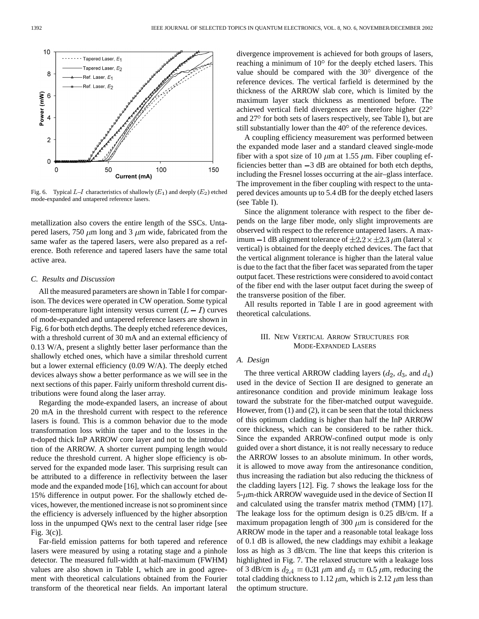

Fig. 6. Typical  $L-I$  characteristics of shallowly  $(E_1)$  and deeply  $(E_2)$  etched mode-expanded and untapered reference lasers.

metallization also covers the entire length of the SSCs. Untapered lasers, 750  $\mu$ m long and 3  $\mu$ m wide, fabricated from the same wafer as the tapered lasers, were also prepared as a reference. Both reference and tapered lasers have the same total active area.

## *C. Results and Discussion*

All the measured parameters are shown in Table I for comparison. The devices were operated in CW operation. Some typical room-temperature light intensity versus current  $(L - I)$  curves of mode-expanded and untapered reference lasers are shown in Fig. 6 for both etch depths. The deeply etched reference devices, with a threshold current of 30 mA and an external efficiency of 0.13 W/A, present a slightly better laser performance than the shallowly etched ones, which have a similar threshold current but a lower external efficiency (0.09 W/A). The deeply etched devices always show a better performance as we will see in the next sections of this paper. Fairly uniform threshold current distributions were found along the laser array.

Regarding the mode-expanded lasers, an increase of about 20 mA in the threshold current with respect to the reference lasers is found. This is a common behavior due to the mode transformation loss within the taper and to the losses in the n-doped thick InP ARROW core layer and not to the introduction of the ARROW. A shorter current pumping length would reduce the threshold current. A higher slope efficiency is observed for the expanded mode laser. This surprising result can be attributed to a difference in reflectivity between the laser mode and the expanded mode [16], which can account for about 15% difference in output power. For the shallowly etched devices, however, the mentioned increase is not so prominent since the efficiency is adversely influenced by the higher absorption loss in the unpumped QWs next to the central laser ridge [see Fig. 3(c)].

Far-field emission patterns for both tapered and reference lasers were measured by using a rotating stage and a pinhole detector. The measured full-width at half-maximum (FWHM) values are also shown in Table I, which are in good agreement with theoretical calculations obtained from the Fourier transform of the theoretical near fields. An important lateral divergence improvement is achieved for both groups of lasers, reaching a minimum of  $10^{\circ}$  for the deeply etched lasers. This value should be compared with the  $30^{\circ}$  divergence of the reference devices. The vertical farfield is determined by the thickness of the ARROW slab core, which is limited by the maximum layer stack thickness as mentioned before. The achieved vertical field divergences are therefore higher (22 and 27° for both sets of lasers respectively, see Table I), but are still substantially lower than the  $40^{\circ}$  of the reference devices.

A coupling efficiency measurement was performed between the expanded mode laser and a standard cleaved single-mode fiber with a spot size of 10  $\mu$ m at 1.55  $\mu$ m. Fiber coupling efficiencies better than  $-3$  dB are obtained for both etch depths, including the Fresnel losses occurring at the air–glass interface. The improvement in the fiber coupling with respect to the untapered devices amounts up to 5.4 dB for the deeply etched lasers (see Table I).

Since the alignment tolerance with respect to the fiber depends on the large fiber mode, only slight improvements are observed with respect to the reference untapered lasers. A maximum  $-1$  dB alignment tolerance of  $\pm 2.2 \times \pm 2.3 \mu$ m (lateral  $\times$ vertical) is obtained for the deeply etched devices. The fact that the vertical alignment tolerance is higher than the lateral value is due to the fact that the fiber facet was separated from the taper output facet. These restrictions were considered to avoid contact of the fiber end with the laser output facet during the sweep of the transverse position of the fiber.

All results reported in Table I are in good agreement with theoretical calculations.

# III. NEW VERTICAL ARROW STRUCTURES FOR MODE-EXPANDED LASERS

# *A. Design*

The three vertical ARROW cladding layers  $(d_2, d_3, \text{ and } d_4)$ used in the device of Section II are designed to generate an antiresonance condition and provide minimum leakage loss toward the substrate for the fiber-matched output waveguide. However, from (1) and (2), it can be seen that the total thickness of this optimum cladding is higher than half the InP ARROW core thickness, which can be considered to be rather thick. Since the expanded ARROW-confined output mode is only guided over a short distance, it is not really necessary to reduce the ARROW losses to an absolute minimum. In other words, it is allowed to move away from the antiresonance condition, thus increasing the radiation but also reducing the thickness of the cladding layers [12]. Fig. 7 shows the leakage loss for the  $5\text{-}\mu$ m-thick ARROW waveguide used in the device of Section II and calculated using the transfer matrix method (TMM) [17]. The leakage loss for the optimum design is 0.25 dB/cm. If a maximum propagation length of 300  $\mu$ m is considered for the ARROW mode in the taper and a reasonable total leakage loss of 0.1 dB is allowed, the new claddings may exhibit a leakage loss as high as 3 dB/cm. The line that keeps this criterion is highlighted in Fig. 7. The relaxed structure with a leakage loss of 3 dB/cm is  $d_{2,4} = 0.31 \ \mu \text{m}$  and  $d_3 = 0.5 \ \mu \text{m}$ , reducing the total cladding thickness to 1.12  $\mu$ m, which is 2.12  $\mu$ m less than the optimum structure.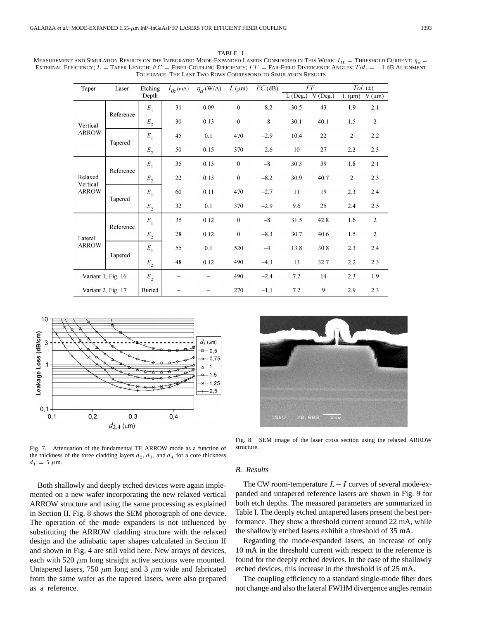TABLE I MEASUREMENT AND SIMULATION RESULTS ON THE INTEGRATED MODE-EXPANDED LASERS CONSIDERED IN THIS WORK:  $I_{th} =$  THRESHOLD CURRENT;  $\eta_d =$  $\begin{array}{l} \text{TABLE} \quad \text{I} \qquad \qquad \text{TABLE} \quad \text{I} \qquad \qquad \text{PDE} \qquad \text{PDE} \qquad \text{PDE} \qquad \text{PDE} \qquad \text{PDE} \qquad \text{PDE} \qquad \text{PDE} \qquad \text{PDE} \qquad \text{PDE} \qquad \text{PDE} \qquad \text{PDE} \qquad \text{PDE} \qquad \text{PDE} \qquad \text{PDE} \qquad \text{PDE} \qquad \text{PDE} \qquad \text{PDE} \qquad \text{PDE} \qquad \text{PDE} \qquad \text{PDE}$ TOLERANCE. THE LAST TWO ROWS CORRESPOND TO SIMULATION RESULTS

| Taper                               | Laser     | Etching            | $I_{th}$ (mA) | $\eta_d$ (W/A) | $L(\mu m)$   | $FC$ (dB) | $\cal FF$            |                      | $\overline{Tol.}(\pm)$ |                             |
|-------------------------------------|-----------|--------------------|---------------|----------------|--------------|-----------|----------------------|----------------------|------------------------|-----------------------------|
|                                     |           | Depth              |               |                |              |           | $\overline{L(Deg.)}$ | $\overline{V$ (Deg.) | $L(\mu m)$             | $\bar{V}(\mu\underline{m})$ |
| Vertical<br><b>ARROW</b>            | Reference | $E_1$              | 31            | 0.09           | $\mathbf{0}$ | $-8.2$    | 30.5                 | 43                   | 1.9                    | 2.1                         |
|                                     |           | $\boldsymbol{E}_2$ | 30            | 0.13           | $\mathbf{0}$ | $-8$      | 30.1                 | 40.1                 | 1.5                    | $\mathbf{2}$                |
|                                     | Tapered   | $E_{1}$            | 45            | 0.1            | 470          | $-2.9$    | 10.4                 | 22                   | 2                      | 2.2                         |
|                                     |           | ${\cal E}_2$       | 50            | 0.15           | 370          | $-2.6$    | 10                   | 27                   | 2.2                    | 2.3                         |
| Relaxed<br>Vertical<br><b>ARROW</b> | Reference | $E_1$              | 35            | 0.13           | $\mathbf{0}$ | $-8$      | 30.3                 | 39                   | 1.8                    | 2.1                         |
|                                     |           | ${\cal E}_2$       | 22            | 0.13           | $\mathbf{0}$ | $-8.2$    | 30.9                 | 40.7                 | $\overline{2}$         | 2.3                         |
|                                     | Tapered   | $E_{1}$            | 60            | 0.11           | 470          | $-2.7$    | 11                   | 19                   | 2.3                    | 2.4                         |
|                                     |           | ${\cal E}_2$       | 32            | 0.1            | 370          | $-2.9$    | 9.6                  | 25                   | 2.4                    | 2.5                         |
| Lateral<br><b>ARROW</b>             | Reference | $E_{1}$            | 35            | 0.12           | $\theta$     | $-8$      | 31.5                 | 42.8                 | 1.6                    | $\mathbf{2}$                |
|                                     |           | ${\cal E}_2$       | 28            | 0.12           | $\mathbf{0}$ | $-8.3$    | 30.7                 | 40.6                 | 1.5                    | $\overline{2}$              |
|                                     | Tapered   | $E_{1}$            | 55            | 0.1            | 520          | $-4$      | 13.8                 | 30.8                 | 2.3                    | 2.4                         |
|                                     |           | $E_{\rm 2}$        | 48            | 0.12           | 490          | $-4.3$    | 13                   | 32.7                 | 2.2                    | 2.3                         |
| Variant 1, Fig. 16                  |           | E <sub>2</sub>     | —             |                | 490          | $-2.4$    | 7.2                  | 14                   | 2.3                    | 1.9                         |
| Variant 2, Fig. 17                  |           | <b>Buried</b>      |               |                | 270          | $-1.1$    | 7.2                  | 9                    | 2.9                    | 2.3                         |



Fig. 7. Attenuation of the fundamental TE ARROW mode as a function of the thickness of the three cladding layers  $d_2$ ,  $d_3$ , and  $d_4$  for a core thickness  $d_1 = 5 \mu m$ .

Both shallowly and deeply etched devices were again implemented on a new wafer incorporating the new relaxed vertical ARROW structure and using the same processing as explained in Section II. Fig. 8 shows the SEM photograph of one device. The operation of the mode expanders is not influenced by substituting the ARROW cladding structure with the relaxed design and the adiabatic taper shapes calculated in Section II and shown in Fig. 4 are still valid here. New arrays of devices, each with 520  $\mu$ m long straight active sections were mounted. Untapered lasers, 750  $\mu$ m long and 3  $\mu$ m wide and fabricated from the same wafer as the tapered lasers, were also prepared as a reference.



Fig. 8. SEM image of the laser cross section using the relaxed ARROW structure.

#### *B. Results*

The CW room-temperature  $L-I$  curves of several mode-expanded and untapered reference lasers are shown in Fig. 9 for both etch depths. The measured parameters are summarized in Table I. The deeply etched untapered lasers present the best performance. They show a threshold current around 22 mA, while the shallowly etched lasers exhibit a threshold of 35 mA.

Regarding the mode-expanded lasers, an increase of only 10 mA in the threshold current with respect to the reference is found for the deeply etched devices. In the case of the shallowly etched devices, this increase in the threshold is of 25 mA.

The coupling efficiency to a standard single-mode fiber does not change and also the lateral FWHM divergence angles remain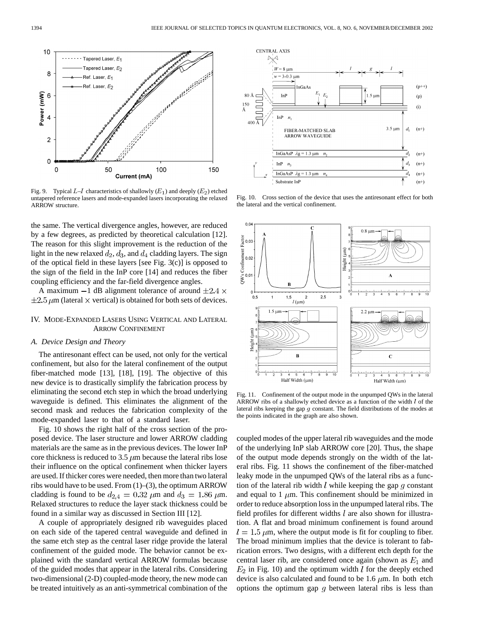

Fig. 9. Typical  $L-I$  characteristics of shallowly  $(E_1)$  and deeply  $(E_2)$  etched untapered reference lasers and mode-expanded lasers incorporating the relaxed ARROW structure.

the same. The vertical divergence angles, however, are reduced by a few degrees, as predicted by theoretical calculation [12]. The reason for this slight improvement is the reduction of the light in the new relaxed  $d_2$ ,  $d_3$ , and  $d_4$  cladding layers. The sign of the optical field in these layers [see Fig. 3(c)] is opposed to the sign of the field in the InP core [14] and reduces the fiber coupling efficiency and the far-field divergence angles.

A maximum  $-1$  dB alignment tolerance of around  $\pm 2.4 \times$  $\pm 2.5 \,\mu$ m (lateral  $\times$  vertical) is obtained for both sets of devices.

# IV. MODE-EXPANDED LASERS USING VERTICAL AND LATERAL ARROW CONFINEMENT

## *A. Device Design and Theory*

The antiresonant effect can be used, not only for the vertical confinement, but also for the lateral confinement of the output fiber-matched mode [13], [18], [19]. The objective of this new device is to drastically simplify the fabrication process by eliminating the second etch step in which the broad underlying waveguide is defined. This eliminates the alignment of the second mask and reduces the fabrication complexity of the mode-expanded laser to that of a standard laser.

Fig. 10 shows the right half of the cross section of the proposed device. The laser structure and lower ARROW cladding materials are the same as in the previous devices. The lower InP core thickness is reduced to 3.5  $\mu$ m because the lateral ribs lose their influence on the optical confinement when thicker layers are used. If thicker cores were needed, then more than two lateral ribs would have to be used. From (1)–(3), the optimum ARROW cladding is found to be  $d_{2,4} = 0.32 \ \mu \text{m}$  and  $d_3 = 1.86 \ \mu \text{m}$ . Relaxed structures to reduce the layer stack thickness could be found in a similar way as discussed in Section III [12].

A couple of appropriately designed rib waveguides placed on each side of the tapered central waveguide and defined in the same etch step as the central laser ridge provide the lateral confinement of the guided mode. The behavior cannot be explained with the standard vertical ARROW formulas because of the guided modes that appear in the lateral ribs. Considering two-dimensional (2-D) coupled-mode theory, the new mode can be treated intuitively as an anti-symmetrical combination of the



Fig. 10. Cross section of the device that uses the antiresonant effect for both the lateral and the vertical confinement.



Fig. 11. Confinement of the output mode in the unpumped QWs in the lateral ARROW ribs of a shallowly etched device as a function of the width  $l$  of the lateral ribs keeping the gap g constant. The field distributions of the modes at the points indicated in the graph are also shown.

coupled modes of the upper lateral rib waveguides and the mode of the underlying InP slab ARROW core [20]. Thus, the shape of the output mode depends strongly on the width of the lateral ribs. Fig. 11 shows the confinement of the fiber-matched leaky mode in the unpumped QWs of the lateral ribs as a function of the lateral rib width  $l$  while keeping the gap  $q$  constant and equal to 1  $\mu$ m. This confinement should be minimized in order to reduce absorption loss in the unpumped lateral ribs. The field profiles for different widths  $l$  are also shown for illustration. A flat and broad minimum confinement is found around  $l = 1.5 \mu$ m, where the output mode is fit for coupling to fiber. The broad minimum implies that the device is tolerant to fabrication errors. Two designs, with a different etch depth for the central laser rib, are considered once again (shown as  $E_1$  and  $E_2$  in Fig. 10) and the optimum width *l* for the deeply etched device is also calculated and found to be 1.6  $\mu$ m. In both etch options the optimum gap  $q$  between lateral ribs is less than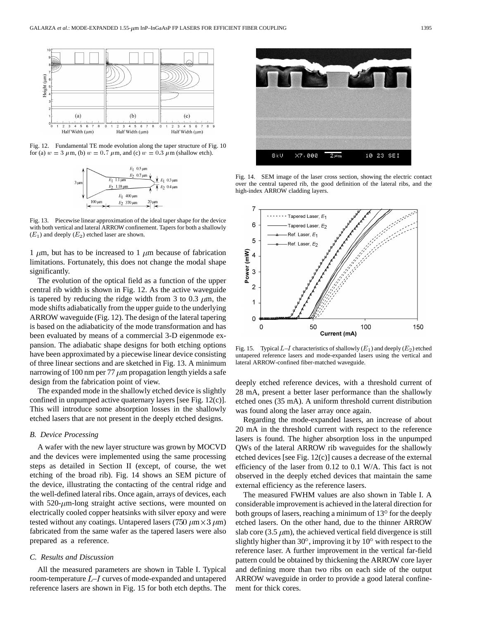

Fig. 12. Fundamental TE mode evolution along the taper structure of Fig. 10 for (a)  $w = 3 \mu \text{m}$ , (b)  $w = 0.7 \mu \text{m}$ , and (c)  $w = 0.3 \mu \text{m}$  (shallow etch).



Fig. 13. Piecewise linear approximation of the ideal taper shape for the device with both vertical and lateral ARROW confinement. Tapers for both a shallowly  $(E_1)$  and deeply  $(E_2)$  etched laser are shown.

1  $\mu$ m, but has to be increased to 1  $\mu$ m because of fabrication limitations. Fortunately, this does not change the modal shape significantly.

The evolution of the optical field as a function of the upper central rib width is shown in Fig. 12. As the active waveguide is tapered by reducing the ridge width from 3 to 0.3  $\mu$ m, the mode shifts adiabatically from the upper guide to the underlying ARROW waveguide (Fig. 12). The design of the lateral tapering is based on the adiabaticity of the mode transformation and has been evaluated by means of a commercial 3-D eigenmode expansion. The adiabatic shape designs for both etching options have been approximated by a piecewise linear device consisting of three linear sections and are sketched in Fig. 13. A minimum narrowing of 100 nm per 77  $\mu$ m propagation length yields a safe design from the fabrication point of view.

The expanded mode in the shallowly etched device is slightly confined in unpumped active quaternary layers [see Fig. 12(c)]. This will introduce some absorption losses in the shallowly etched lasers that are not present in the deeply etched designs.

#### *B. Device Processing*

A wafer with the new layer structure was grown by MOCVD and the devices were implemented using the same processing steps as detailed in Section II (except, of course, the wet etching of the broad rib). Fig. 14 shows an SEM picture of the device, illustrating the contacting of the central ridge and the well-defined lateral ribs. Once again, arrays of devices, each with  $520$ - $\mu$ m-long straight active sections, were mounted on electrically cooled copper heatsinks with silver epoxy and were tested without any coatings. Untapered lasers (750  $\mu$ m × 3  $\mu$ m) fabricated from the same wafer as the tapered lasers were also prepared as a reference.

### *C. Results and Discussion*

All the measured parameters are shown in Table I. Typical room-temperature  $L-I$  curves of mode-expanded and untapered reference lasers are shown in Fig. 15 for both etch depths. The



Fig. 14. SEM image of the laser cross section, showing the electric contact over the central tapered rib, the good definition of the lateral ribs, and the high-index ARROW cladding layers.



Fig. 15. Typical  $L-I$  characteristics of shallowly  $(E_1)$  and deeply  $(E_2)$  etched untapered reference lasers and mode-expanded lasers using the vertical and lateral ARROW-confined fiber-matched waveguide.

deeply etched reference devices, with a threshold current of 28 mA, present a better laser performance than the shallowly etched ones (35 mA). A uniform threshold current distribution was found along the laser array once again.

Regarding the mode-expanded lasers, an increase of about 20 mA in the threshold current with respect to the reference lasers is found. The higher absorption loss in the unpumped QWs of the lateral ARROW rib waveguides for the shallowly etched devices [see Fig. 12(c)] causes a decrease of the external efficiency of the laser from 0.12 to 0.1 W/A. This fact is not observed in the deeply etched devices that maintain the same external efficiency as the reference lasers.

The measured FWHM values are also shown in Table I. A considerable improvement is achieved in the lateral direction for both groups of lasers, reaching a minimum of  $13^{\circ}$  for the deeply etched lasers. On the other hand, due to the thinner ARROW slab core (3.5  $\mu$ m), the achieved vertical field divergence is still slightly higher than  $30^\circ$ , improving it by  $10^\circ$  with respect to the reference laser. A further improvement in the vertical far-field pattern could be obtained by thickening the ARROW core layer and defining more than two ribs on each side of the output ARROW waveguide in order to provide a good lateral confinement for thick cores.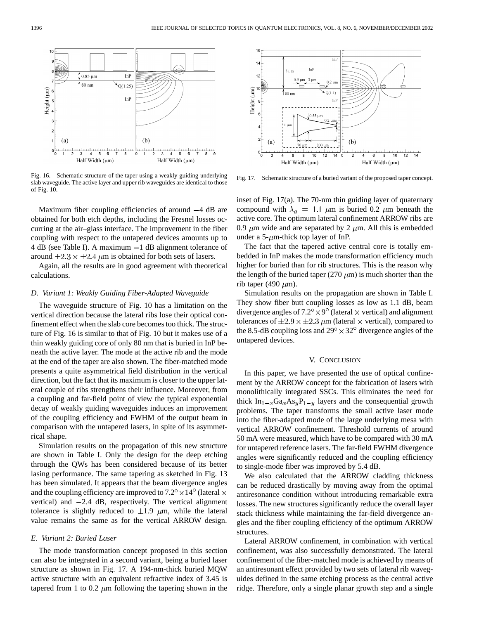$10$  $0.85 \mu m$  $InP$ ↑80 nm  $\sqrt[4]{Q(1.25)}$ Height (µm)  $InP$  $\mathbf{3}$  $\overline{a}$  $(b)$  $(a)$  $\ddot{\phantom{1}}$ ىلىبىيلىسىلىسىلىس<br>1 2 3 4 5  $0_0^L$ ىل<br>6  $\frac{1}{7}$ ö  $\overline{5}$  $\overline{\mathbf{8}}$  $\overline{6}$ ۄ Half Width (µm) Half Width (µm)

Fig. 16. Schematic structure of the taper using a weakly guiding underlying slab waveguide. The active layer and upper rib waveguides are identical to those of Fig. 10.

Maximum fiber coupling efficiencies of around  $-4$  dB are obtained for both etch depths, including the Fresnel losses occurring at the air–glass interface. The improvement in the fiber coupling with respect to the untapered devices amounts up to 4 dB (see Table I). A maximum  $-1$  dB alignment tolerance of around  $\pm 2.3 \times \pm 2.4 \mu m$  is obtained for both sets of lasers.

Again, all the results are in good agreement with theoretical calculations.

## *D. Variant 1: Weakly Guiding Fiber-Adapted Waveguide*

The waveguide structure of Fig. 10 has a limitation on the vertical direction because the lateral ribs lose their optical confinement effect when the slab core becomes too thick. The structure of Fig. 16 is similar to that of Fig. 10 but it makes use of a thin weakly guiding core of only 80 nm that is buried in InP beneath the active layer. The mode at the active rib and the mode at the end of the taper are also shown. The fiber-matched mode presents a quite asymmetrical field distribution in the vertical direction, but the fact that its maximum is closer to the upper lateral couple of ribs strengthens their influence. Moreover, from a coupling and far-field point of view the typical exponential decay of weakly guiding waveguides induces an improvement of the coupling efficiency and FWHM of the output beam in comparison with the untapered lasers, in spite of its asymmetrical shape.

Simulation results on the propagation of this new structure are shown in Table I. Only the design for the deep etching through the QWs has been considered because of its better lasing performance. The same tapering as sketched in Fig. 13 has been simulated. It appears that the beam divergence angles and the coupling efficiency are improved to  $7.2^{\circ} \times 14^{\circ}$  (lateral  $\times$ vertical) and  $-2.4$  dB, respectively. The vertical alignment tolerance is slightly reduced to  $\pm 1.9$   $\mu$ m, while the lateral value remains the same as for the vertical ARROW design.

## *E. Variant 2: Buried Laser*

The mode transformation concept proposed in this section can also be integrated in a second variant, being a buried laser structure as shown in Fig. 17. A 194-nm-thick buried MQW active structure with an equivalent refractive index of 3.45 is tapered from 1 to 0.2  $\mu$ m following the tapering shown in the



Fig. 17. Schematic structure of a buried variant of the proposed taper concept.

inset of Fig. 17(a). The 70-nm thin guiding layer of quaternary compound with  $\lambda_q = 1.1 \mu m$  is buried 0.2  $\mu m$  beneath the active core. The optimum lateral confinement ARROW ribs are 0.9  $\mu$ m wide and are separated by 2  $\mu$ m. All this is embedded under a 5- $\mu$ m-thick top layer of InP.

The fact that the tapered active central core is totally embedded in InP makes the mode transformation efficiency much higher for buried than for rib structures. This is the reason why the length of the buried taper (270  $\mu$ m) is much shorter than the rib taper (490  $\mu$ m).

Simulation results on the propagation are shown in Table I. They show fiber butt coupling losses as low as 1.1 dB, beam divergence angles of  $7.2^{\circ} \times 9^{\circ}$  (lateral  $\times$  vertical) and alignment tolerances of  $\pm 2.9 \times \pm 2.3 \mu$ m (lateral  $\times$  vertical), compared to the 8.5-dB coupling loss and  $29^{\circ} \times 32^{\circ}$  divergence angles of the untapered devices.

## V. CONCLUSION

In this paper, we have presented the use of optical confinement by the ARROW concept for the fabrication of lasers with monolithically integrated SSCs. This eliminates the need for thick  $In_{1-x}Ga_xAs_yP_{1-y}$  layers and the consequential growth problems. The taper transforms the small active laser mode into the fiber-adapted mode of the large underlying mesa with vertical ARROW confinement. Threshold currents of around 50 mA were measured, which have to be compared with 30 mA for untapered reference lasers. The far-field FWHM divergence angles were significantly reduced and the coupling efficiency to single-mode fiber was improved by 5.4 dB.

We also calculated that the ARROW cladding thickness can be reduced drastically by moving away from the optimal antiresonance condition without introducing remarkable extra losses. The new structures significantly reduce the overall layer stack thickness while maintaining the far-field divergence angles and the fiber coupling efficiency of the optimum ARROW structures.

Lateral ARROW confinement, in combination with vertical confinement, was also successfully demonstrated. The lateral confinement of the fiber-matched mode is achieved by means of an antiresonant effect provided by two sets of lateral rib waveguides defined in the same etching process as the central active ridge. Therefore, only a single planar growth step and a single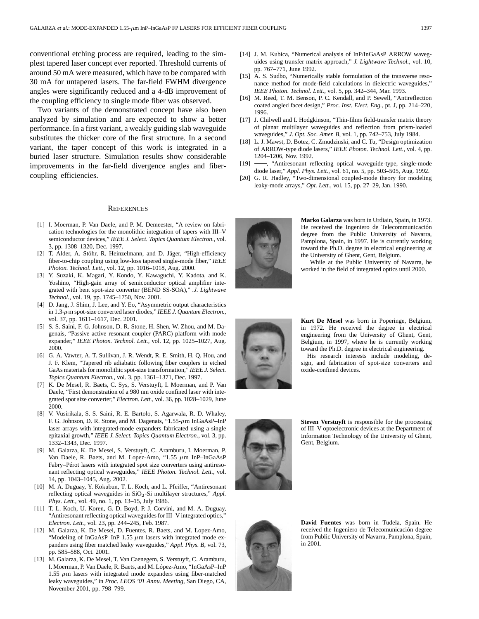conventional etching process are required, leading to the simplest tapered laser concept ever reported. Threshold currents of around 50 mA were measured, which have to be compared with 30 mA for untapered lasers. The far-field FWHM divergence angles were significantly reduced and a 4-dB improvement of the coupling efficiency to single mode fiber was observed.

Two variants of the demonstrated concept have also been analyzed by simulation and are expected to show a better performance. In a first variant, a weakly guiding slab waveguide substitutes the thicker core of the first structure. In a second variant, the taper concept of this work is integrated in a buried laser structure. Simulation results show considerable improvements in the far-field divergence angles and fibercoupling efficiencies.

#### **REFERENCES**

- [1] I. Moerman, P. Van Daele, and P. M. Demeester, "A review on fabrication technologies for the monolithic integration of tapers with III–V semiconductor devices," *IEEE J. Select. Topics Quantum Electron.*, vol. 3, pp. 1308–1320, Dec. 1997.
- [2] T. Alder, A. Stöhr, R. Heinzelmann, and D. Jäger, "High-efficiency fiber-to-chip coupling using low-loss tapered single-mode fiber," *IEEE Photon. Technol. Lett.*, vol. 12, pp. 1016–1018, Aug. 2000.
- [3] Y. Suzaki, K. Magari, Y. Kondo, Y. Kawaguchi, Y. Kadota, and K. Yoshino, "High-gain array of semiconductor optical amplifier integrated with bent spot-size converter (BEND SS-SOA)," *.J. Lightwave Technol.*, vol. 19, pp. 1745–1750, Nov. 2001.
- [4] D. Jang, J. Shim, J. Lee, and Y. Eo, "Asymmetric output characteristics in 1.3-m spot-size converted laser diodes," *IEEE J. Quantum Electron.*, vol. 37, pp. 1611–1617, Dec. 2001.
- [5] S. S. Saini, F. G. Johnson, D. R. Stone, H. Shen, W. Zhou, and M. Dagenais, "Passive active resonant coupler (PARC) platform with mode expander," *IEEE Photon. Technol. Lett.*, vol. 12, pp. 1025–1027, Aug. 2000.
- [6] G. A. Vawter, A. T. Sullivan, J. R. Wendt, R. E. Smith, H. Q. Hou, and J. F. Klem, "Tapered rib adiabatic following fiber couplers in etched GaAs materials for monolithic spot-size transformation," *IEEE J. Select. Topics Quantum Electron.*, vol. 3, pp. 1361–1371, Dec. 1997.
- [7] K. De Mesel, R. Baets, C. Sys, S. Verstuyft, I. Moerman, and P. Van Daele, "First demonstration of a 980 nm oxide confined laser with integrated spot size converter," *Electron. Lett.*, vol. 36, pp. 1028–1029, June 2000.
- [8] V. Vusirikala, S. S. Saini, R. E. Bartolo, S. Agarwala, R. D. Whaley, F. G. Johnson, D. R. Stone, and M. Dagenais, " $1.55-\mu$ m InGaAsP–InP laser arrays with integrated-mode expanders fabricated using a single epitaxial growth," *IEEE J. Select. Topics Quantum Electron.*, vol. 3, pp. 1332–1343, Dec. 1997.
- [9] M. Galarza, K. De Mesel, S. Verstuyft, C. Aramburu, I. Moerman, P. Van Daele, R. Baets, and M. Lopez-Amo, "1.55  $\mu$ m InP-InGaAsP Fabry–Pérot lasers with integrated spot size converters using antiresonant reflecting optical waveguides," *IEEE Photon. Technol. Lett.*, vol. 14, pp. 1043–1045, Aug. 2002.
- [10] M. A. Duguay, Y. Kokubun, T. L. Koch, and L. Pfeiffer, "Antiresonant reflecting optical waveguides in SiO<sub>2</sub>-Si multilayer structures," *Appl. Phys. Lett.*, vol. 49, no. 1, pp. 13–15, July 1986.
- [11] T. L. Koch, U. Koren, G. D. Boyd, P. J. Corvini, and M. A. Duguay, "Antiresonant reflecting optical waveguides for III–V integrated optics," *Electron. Lett.*, vol. 23, pp. 244–245, Feb. 1987.
- [12] M. Galarza, K. De Mesel, D. Fuentes, R. Baets, and M. Lopez-Amo, "Modeling of InGaAsP-InP 1.55  $\mu$ m lasers with integrated mode expanders using fiber matched leaky waveguides," *Appl. Phys. B*, vol. 73, pp. 585–588, Oct. 2001.
- [13] M. Galarza, K. De Mesel, T. Van Caenegem, S. Verstuyft, C. Aramburu, I. Moerman, P. Van Daele, R. Baets, and M. López-Amo, "InGaAsP–InP 1.55  $\mu$ m lasers with integrated mode expanders using fiber-matched leaky waveguides," in *Proc. LEOS '01 Annu. Meeting*, San Diego, CA, November 2001, pp. 798–799.
- [14] J. M. Kubica, "Numerical analysis of InP/InGaAsP ARROW waveguides using transfer matrix approach," *J. Lightwave Technol.*, vol. 10, pp. 767–771, June 1992.
- [15] A. S. Sudbo, "Numerically stable formulation of the transverse resonance method for mode-field calculations in dielectric waveguides," *IEEE Photon. Technol. Lett.*, vol. 5, pp. 342–344, Mar. 1993.
- [16] M. Reed, T. M. Benson, P. C. Kendall, and P. Sewell, "Antireflection coated angled facet design," *Proc. Inst. Elect. Eng.*, pt. J, pp. 214–220, 1996.
- [17] J. Chilwell and I. Hodgkinson, "Thin-films field-transfer matrix theory of planar multilayer waveguides and reflection from prism-loaded waveguides," *J. Opt. Soc. Amer. B*, vol. 1, pp. 742–753, July 1984.
- [18] L. J. Mawst, D. Botez, C. Zmudzinski, and C. Tu, "Design optimization of ARROW-type diode lasers," *IEEE Photon. Technol. Lett.*, vol. 4, pp. 1204–1206, Nov. 1992.
- [19] -, "Antiresonant reflecting optical waveguide-type, single-mode diode laser," *Appl. Phys. Lett.*, vol. 61, no. 5, pp. 503–505, Aug. 1992.
- [20] G. R. Hadley, "Two-dimensional coupled-mode theory for modeling leaky-mode arrays," *Opt. Lett.*, vol. 15, pp. 27–29, Jan. 1990.



**Marko Galarza** was born in Urdiain, Spain, in 1973. He received the Ingeniero de Telecommunicación degree from the Public University of Navarra, Pamplona, Spain, in 1997. He is currently working toward the Ph.D. degree in electrical engineering at the University of Ghent, Gent, Belgium.

While at the Public University of Navarra, he worked in the field of integrated optics until 2000.



**Kurt De Mesel** was born in Poperinge, Belgium, in 1972. He received the degree in electrical engineering from the University of Ghent, Gent, Belgium, in 1997, where he is currently working toward the Ph.D. degree in electrical engineering.

His research interests include modeling, design, and fabrication of spot-size converters and oxide-confined devices.



**Steven Verstuyft** is responsible for the processing of III–V optoelectronic devices at the Department of Information Technology of the University of Ghent, Gent, Belgium.



**David Fuentes** was born in Tudela, Spain. He received the Ingeniero de Telecomunicación degree from Public University of Navarra, Pamplona, Spain, in 2001.